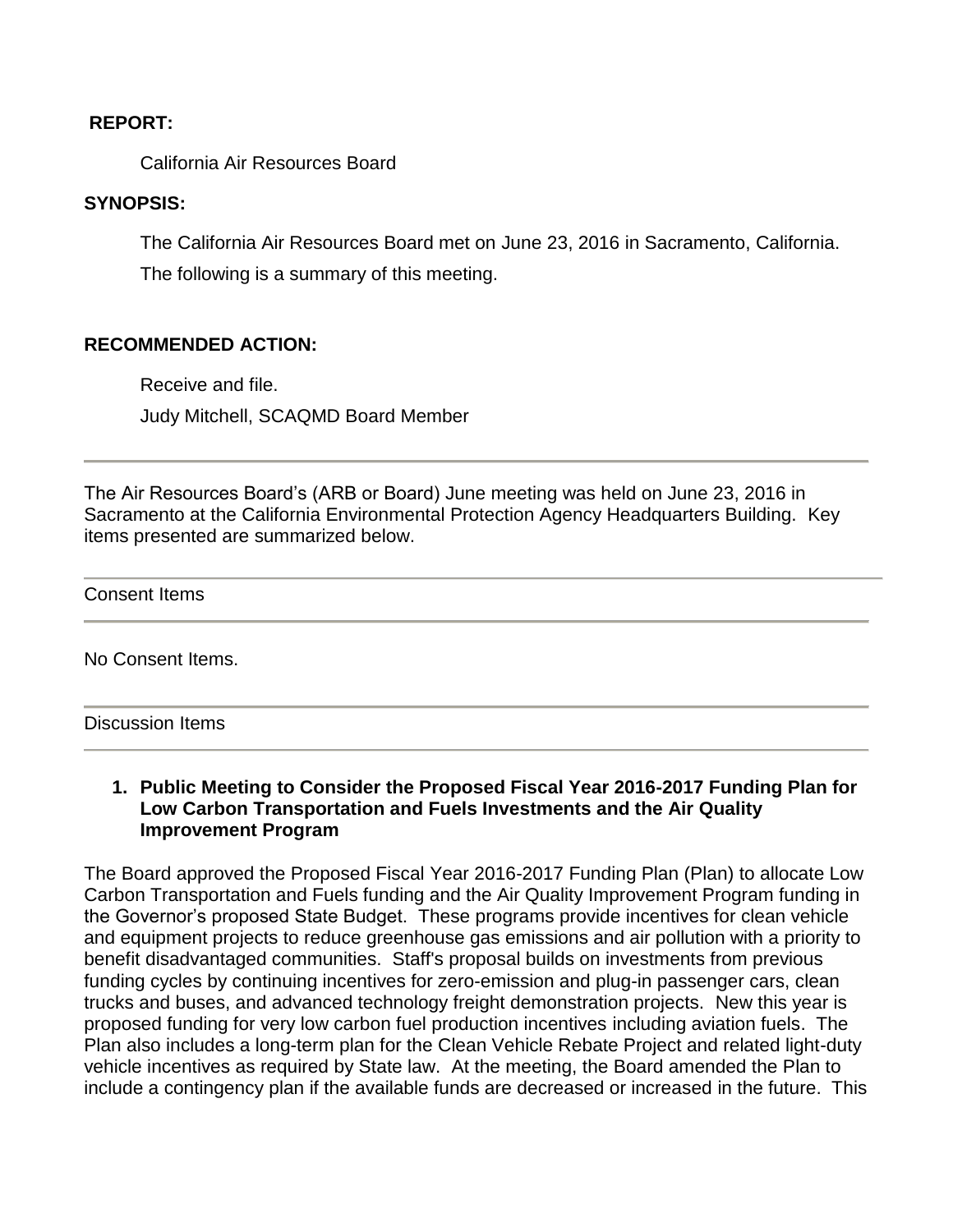#### **REPORT:**

California Air Resources Board

### **SYNOPSIS:**

The California Air Resources Board met on June 23, 2016 in Sacramento, California. The following is a summary of this meeting.

### **RECOMMENDED ACTION:**

Receive and file. Judy Mitchell, SCAQMD Board Member

The Air Resources Board's (ARB or Board) June meeting was held on June 23, 2016 in Sacramento at the California Environmental Protection Agency Headquarters Building. Key items presented are summarized below.

Consent Items

No Consent Items.

#### Discussion Items

#### **1. Public Meeting to Consider the Proposed Fiscal Year 2016-2017 Funding Plan for Low Carbon Transportation and Fuels Investments and the Air Quality Improvement Program**

The Board approved the Proposed Fiscal Year 2016-2017 Funding Plan (Plan) to allocate Low Carbon Transportation and Fuels funding and the Air Quality Improvement Program funding in the Governor's proposed State Budget. These programs provide incentives for clean vehicle and equipment projects to reduce greenhouse gas emissions and air pollution with a priority to benefit disadvantaged communities. Staff's proposal builds on investments from previous funding cycles by continuing incentives for zero-emission and plug-in passenger cars, clean trucks and buses, and advanced technology freight demonstration projects. New this year is proposed funding for very low carbon fuel production incentives including aviation fuels. The Plan also includes a long-term plan for the Clean Vehicle Rebate Project and related light-duty vehicle incentives as required by State law. At the meeting, the Board amended the Plan to include a contingency plan if the available funds are decreased or increased in the future. This